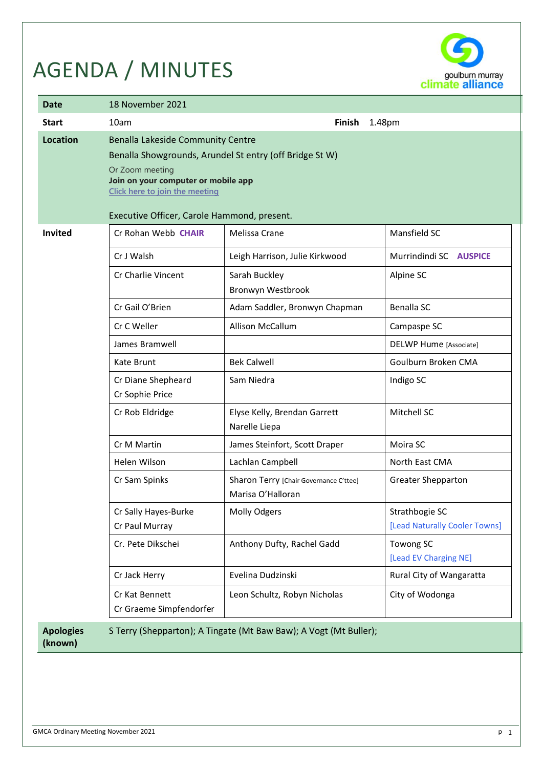# AGENDA / MINUTES



| Date                        | 18 November 2021                                                                                                                                                                                                                        |                                                                                                                        |                                                                          |  |  |  |  |
|-----------------------------|-----------------------------------------------------------------------------------------------------------------------------------------------------------------------------------------------------------------------------------------|------------------------------------------------------------------------------------------------------------------------|--------------------------------------------------------------------------|--|--|--|--|
| <b>Start</b>                | 1.48pm<br>10am<br><b>Finish</b>                                                                                                                                                                                                         |                                                                                                                        |                                                                          |  |  |  |  |
| <b>Location</b>             | Benalla Lakeside Community Centre<br>Benalla Showgrounds, Arundel St entry (off Bridge St W)<br>Or Zoom meeting<br>Join on your computer or mobile app<br>Click here to join the meeting<br>Executive Officer, Carole Hammond, present. |                                                                                                                        |                                                                          |  |  |  |  |
| <b>Invited</b>              | Cr Rohan Webb CHAIR<br>Cr J Walsh<br>Cr Charlie Vincent<br>Cr Gail O'Brien                                                                                                                                                              | Melissa Crane<br>Leigh Harrison, Julie Kirkwood<br>Sarah Buckley<br>Bronwyn Westbrook<br>Adam Saddler, Bronwyn Chapman | Mansfield SC<br>Murrindindi SC AUSPICE<br>Alpine SC<br><b>Benalla SC</b> |  |  |  |  |
|                             | Cr C Weller<br>James Bramwell                                                                                                                                                                                                           | Allison McCallum                                                                                                       | Campaspe SC<br><b>DELWP Hume [Associate]</b>                             |  |  |  |  |
|                             | Kate Brunt                                                                                                                                                                                                                              | <b>Bek Calwell</b>                                                                                                     | Goulburn Broken CMA                                                      |  |  |  |  |
|                             | Cr Diane Shepheard<br>Cr Sophie Price                                                                                                                                                                                                   | Sam Niedra                                                                                                             | Indigo SC                                                                |  |  |  |  |
|                             | Cr Rob Eldridge                                                                                                                                                                                                                         | Elyse Kelly, Brendan Garrett<br>Narelle Liepa                                                                          | Mitchell SC                                                              |  |  |  |  |
|                             | Cr M Martin                                                                                                                                                                                                                             | James Steinfort, Scott Draper                                                                                          | Moira SC                                                                 |  |  |  |  |
|                             | Helen Wilson                                                                                                                                                                                                                            | Lachlan Campbell                                                                                                       | North East CMA                                                           |  |  |  |  |
|                             | Cr Sam Spinks                                                                                                                                                                                                                           | Sharon Terry [Chair Governance C'ttee]<br>Marisa O'Halloran                                                            | <b>Greater Shepparton</b>                                                |  |  |  |  |
|                             | Cr Sally Hayes-Burke<br>Cr Paul Murray                                                                                                                                                                                                  | Molly Odgers                                                                                                           | Strathbogie SC<br>[Lead Naturally Cooler Towns]                          |  |  |  |  |
|                             | Cr. Pete Dikschei                                                                                                                                                                                                                       | Anthony Dufty, Rachel Gadd                                                                                             | Towong SC<br>[Lead EV Charging NE]                                       |  |  |  |  |
|                             | Cr Jack Herry                                                                                                                                                                                                                           | Evelina Dudzinski                                                                                                      | Rural City of Wangaratta                                                 |  |  |  |  |
|                             | Cr Kat Bennett<br>Cr Graeme Simpfendorfer                                                                                                                                                                                               | Leon Schultz, Robyn Nicholas                                                                                           | City of Wodonga                                                          |  |  |  |  |
| <b>Apologies</b><br>(known) |                                                                                                                                                                                                                                         | S Terry (Shepparton); A Tingate (Mt Baw Baw); A Vogt (Mt Buller);                                                      |                                                                          |  |  |  |  |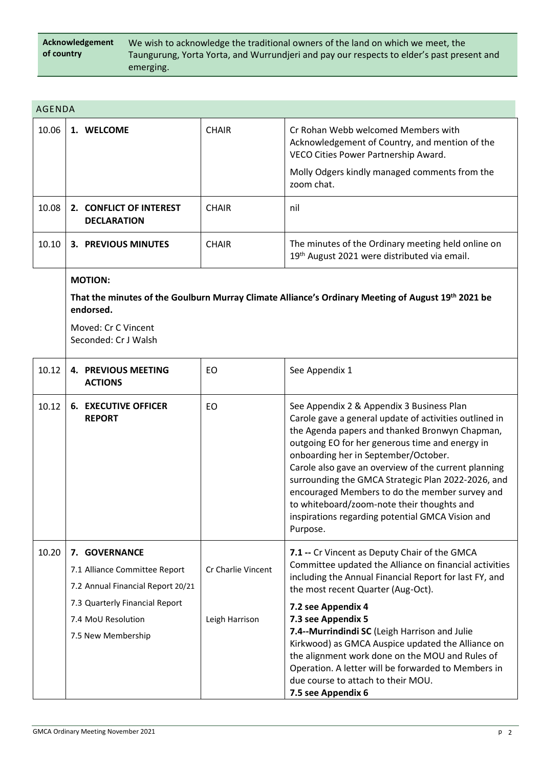| Acknowledgement | We wish to acknowledge the traditional owners of the land on which we meet, the           |
|-----------------|-------------------------------------------------------------------------------------------|
| of country      | Taungurung, Yorta Yorta, and Wurrundjeri and pay our respects to elder's past present and |
|                 | emerging.                                                                                 |

| <b>AGENDA</b> |                                                                                                                                                                   |                                      |                                                                                                                                                                                                                                                                                                                                                                                                                                                                                                                                 |
|---------------|-------------------------------------------------------------------------------------------------------------------------------------------------------------------|--------------------------------------|---------------------------------------------------------------------------------------------------------------------------------------------------------------------------------------------------------------------------------------------------------------------------------------------------------------------------------------------------------------------------------------------------------------------------------------------------------------------------------------------------------------------------------|
| 10.06         | 1. WELCOME                                                                                                                                                        | <b>CHAIR</b>                         | Cr Rohan Webb welcomed Members with<br>Acknowledgement of Country, and mention of the<br>VECO Cities Power Partnership Award.<br>Molly Odgers kindly managed comments from the<br>zoom chat.                                                                                                                                                                                                                                                                                                                                    |
|               |                                                                                                                                                                   |                                      |                                                                                                                                                                                                                                                                                                                                                                                                                                                                                                                                 |
| 10.08         | 2. CONFLICT OF INTEREST<br><b>DECLARATION</b>                                                                                                                     | <b>CHAIR</b>                         | nil                                                                                                                                                                                                                                                                                                                                                                                                                                                                                                                             |
| 10.10         | <b>3. PREVIOUS MINUTES</b>                                                                                                                                        | <b>CHAIR</b>                         | The minutes of the Ordinary meeting held online on<br>19th August 2021 were distributed via email.                                                                                                                                                                                                                                                                                                                                                                                                                              |
|               | <b>MOTION:</b>                                                                                                                                                    |                                      |                                                                                                                                                                                                                                                                                                                                                                                                                                                                                                                                 |
|               | endorsed.                                                                                                                                                         |                                      | That the minutes of the Goulburn Murray Climate Alliance's Ordinary Meeting of August 19th 2021 be                                                                                                                                                                                                                                                                                                                                                                                                                              |
|               | Moved: Cr C Vincent<br>Seconded: Cr J Walsh                                                                                                                       |                                      |                                                                                                                                                                                                                                                                                                                                                                                                                                                                                                                                 |
| 10.12         | <b>4. PREVIOUS MEETING</b><br><b>ACTIONS</b>                                                                                                                      | EO                                   | See Appendix 1                                                                                                                                                                                                                                                                                                                                                                                                                                                                                                                  |
| 10.12         | <b>6. EXECUTIVE OFFICER</b><br><b>REPORT</b>                                                                                                                      | EO                                   | See Appendix 2 & Appendix 3 Business Plan<br>Carole gave a general update of activities outlined in<br>the Agenda papers and thanked Bronwyn Chapman,<br>outgoing EO for her generous time and energy in<br>onboarding her in September/October.<br>Carole also gave an overview of the current planning<br>surrounding the GMCA Strategic Plan 2022-2026, and<br>encouraged Members to do the member survey and<br>to whiteboard/zoom-note their thoughts and<br>inspirations regarding potential GMCA Vision and<br>Purpose.  |
| 10.20         | 7. GOVERNANCE<br>7.1 Alliance Committee Report<br>7.2 Annual Financial Report 20/21<br>7.3 Quarterly Financial Report<br>7.4 MoU Resolution<br>7.5 New Membership | Cr Charlie Vincent<br>Leigh Harrison | 7.1 -- Cr Vincent as Deputy Chair of the GMCA<br>Committee updated the Alliance on financial activities<br>including the Annual Financial Report for last FY, and<br>the most recent Quarter (Aug-Oct).<br>7.2 see Appendix 4<br>7.3 see Appendix 5<br>7.4--Murrindindi SC (Leigh Harrison and Julie<br>Kirkwood) as GMCA Auspice updated the Alliance on<br>the alignment work done on the MOU and Rules of<br>Operation. A letter will be forwarded to Members in<br>due course to attach to their MOU.<br>7.5 see Appendix 6 |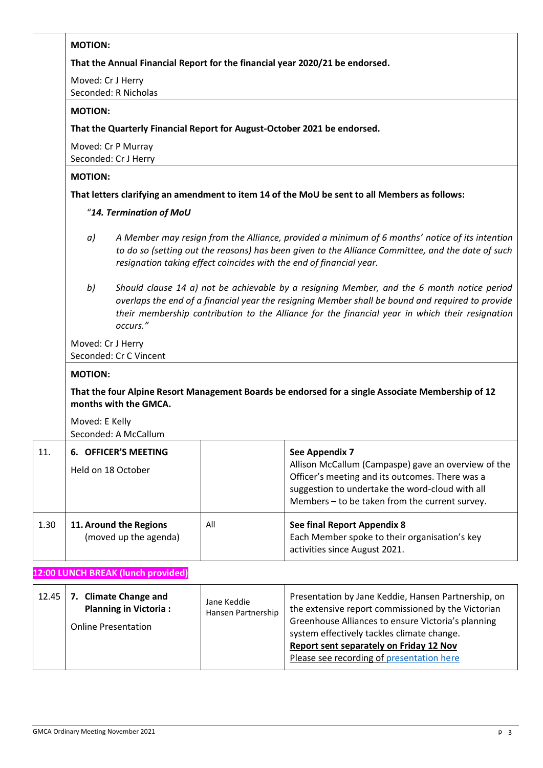|      | <b>MOTION:</b>                                                                                                                                                                                                                                                                                                      |     |                                                                                                                                                                                                                               |  |  |  |
|------|---------------------------------------------------------------------------------------------------------------------------------------------------------------------------------------------------------------------------------------------------------------------------------------------------------------------|-----|-------------------------------------------------------------------------------------------------------------------------------------------------------------------------------------------------------------------------------|--|--|--|
|      | That the Annual Financial Report for the financial year 2020/21 be endorsed.                                                                                                                                                                                                                                        |     |                                                                                                                                                                                                                               |  |  |  |
|      | Moved: Cr J Herry<br>Seconded: R Nicholas                                                                                                                                                                                                                                                                           |     |                                                                                                                                                                                                                               |  |  |  |
|      | <b>MOTION:</b>                                                                                                                                                                                                                                                                                                      |     |                                                                                                                                                                                                                               |  |  |  |
|      |                                                                                                                                                                                                                                                                                                                     |     | That the Quarterly Financial Report for August-October 2021 be endorsed.                                                                                                                                                      |  |  |  |
|      | Moved: Cr P Murray<br>Seconded: Cr J Herry                                                                                                                                                                                                                                                                          |     |                                                                                                                                                                                                                               |  |  |  |
|      | <b>MOTION:</b>                                                                                                                                                                                                                                                                                                      |     |                                                                                                                                                                                                                               |  |  |  |
|      |                                                                                                                                                                                                                                                                                                                     |     | That letters clarifying an amendment to item 14 of the MoU be sent to all Members as follows:                                                                                                                                 |  |  |  |
|      | "14. Termination of MoU                                                                                                                                                                                                                                                                                             |     |                                                                                                                                                                                                                               |  |  |  |
|      | A Member may resign from the Alliance, provided a minimum of 6 months' notice of its intention<br>a)<br>to do so (setting out the reasons) has been given to the Alliance Committee, and the date of such<br>resignation taking effect coincides with the end of financial year.                                    |     |                                                                                                                                                                                                                               |  |  |  |
|      | Should clause 14 a) not be achievable by a resigning Member, and the 6 month notice period<br>b)<br>overlaps the end of a financial year the resigning Member shall be bound and required to provide<br>their membership contribution to the Alliance for the financial year in which their resignation<br>occurs." |     |                                                                                                                                                                                                                               |  |  |  |
|      | Moved: Cr J Herry<br>Seconded: Cr C Vincent                                                                                                                                                                                                                                                                         |     |                                                                                                                                                                                                                               |  |  |  |
|      | <b>MOTION:</b>                                                                                                                                                                                                                                                                                                      |     |                                                                                                                                                                                                                               |  |  |  |
|      | months with the GMCA.                                                                                                                                                                                                                                                                                               |     | That the four Alpine Resort Management Boards be endorsed for a single Associate Membership of 12                                                                                                                             |  |  |  |
|      | Moved: E Kelly<br>Seconded: A McCallum                                                                                                                                                                                                                                                                              |     |                                                                                                                                                                                                                               |  |  |  |
| 11.  | 6. OFFICER'S MEETING<br>Held on 18 October                                                                                                                                                                                                                                                                          |     | See Appendix 7<br>Allison McCallum (Campaspe) gave an overview of the<br>Officer's meeting and its outcomes. There was a<br>suggestion to undertake the word-cloud with all<br>Members - to be taken from the current survey. |  |  |  |
| 1.30 | 11. Around the Regions<br>(moved up the agenda)                                                                                                                                                                                                                                                                     | All | See final Report Appendix 8<br>Each Member spoke to their organisation's key<br>activities since August 2021.                                                                                                                 |  |  |  |
|      |                                                                                                                                                                                                                                                                                                                     |     |                                                                                                                                                                                                                               |  |  |  |

| 12.45   7. Climate Change and<br><b>Planning in Victoria:</b><br><b>Online Presentation</b> | Jane Keddie<br>Hansen Partnership | Presentation by Jane Keddie, Hansen Partnership, on<br>the extensive report commissioned by the Victorian<br>Greenhouse Alliances to ensure Victoria's planning |  |
|---------------------------------------------------------------------------------------------|-----------------------------------|-----------------------------------------------------------------------------------------------------------------------------------------------------------------|--|
|                                                                                             |                                   | system effectively tackles climate change.<br>Report sent separately on Friday 12 Nov<br>Please see recording of presentation here                              |  |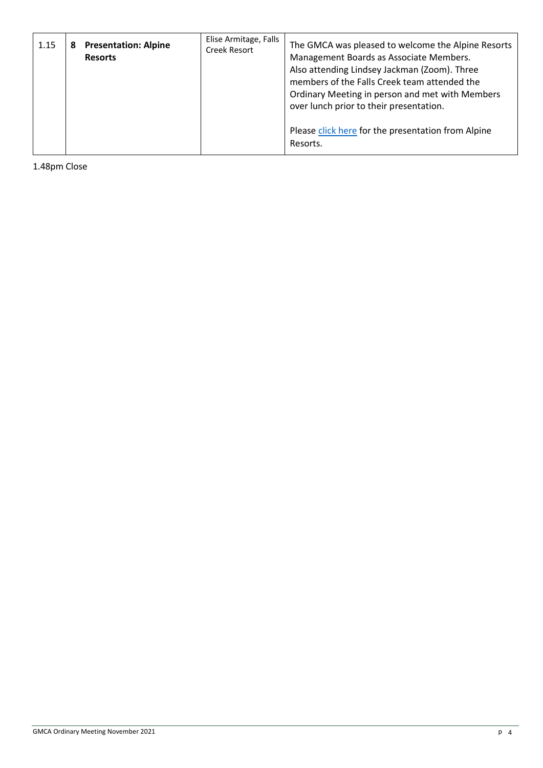| 1.15 | 8 | <b>Presentation: Alpine</b><br><b>Resorts</b> | Elise Armitage, Falls<br>Creek Resort | The GMCA was pleased to welcome the Alpine Resorts<br>Management Boards as Associate Members.<br>Also attending Lindsey Jackman (Zoom). Three<br>members of the Falls Creek team attended the<br>Ordinary Meeting in person and met with Members<br>over lunch prior to their presentation. |
|------|---|-----------------------------------------------|---------------------------------------|---------------------------------------------------------------------------------------------------------------------------------------------------------------------------------------------------------------------------------------------------------------------------------------------|
|      |   |                                               |                                       | Please click here for the presentation from Alpine<br>Resorts.                                                                                                                                                                                                                              |

1.48pm Close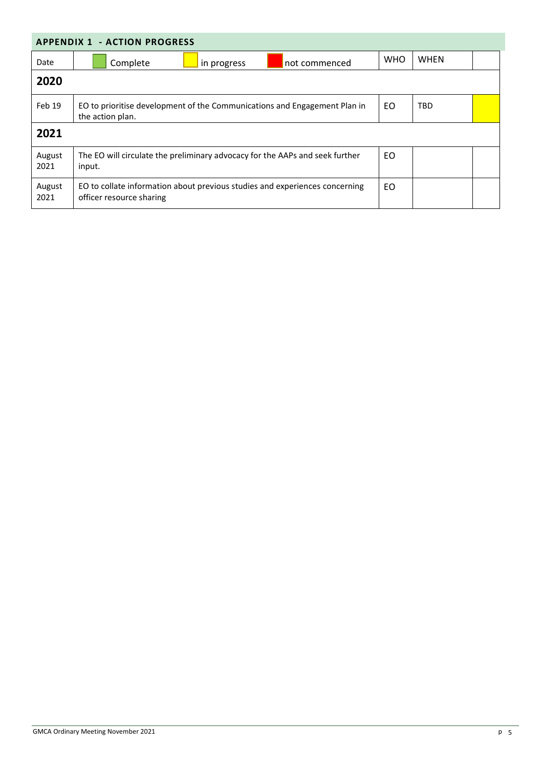| <b>APPENDIX 1 - ACTION PROGRESS</b> |                                                                                                             |            |             |  |  |  |  |  |
|-------------------------------------|-------------------------------------------------------------------------------------------------------------|------------|-------------|--|--|--|--|--|
| Date                                | Complete<br>not commenced<br>in progress                                                                    | <b>WHO</b> | <b>WHEN</b> |  |  |  |  |  |
| 2020                                |                                                                                                             |            |             |  |  |  |  |  |
| Feb 19                              | EO to prioritise development of the Communications and Engagement Plan in<br>EO.<br>TBD<br>the action plan. |            |             |  |  |  |  |  |
| 2021                                |                                                                                                             |            |             |  |  |  |  |  |
| August<br>2021                      | The EO will circulate the preliminary advocacy for the AAPs and seek further<br>input.                      | <b>EO</b>  |             |  |  |  |  |  |
| August<br>2021                      | EO to collate information about previous studies and experiences concerning<br>officer resource sharing     | EO         |             |  |  |  |  |  |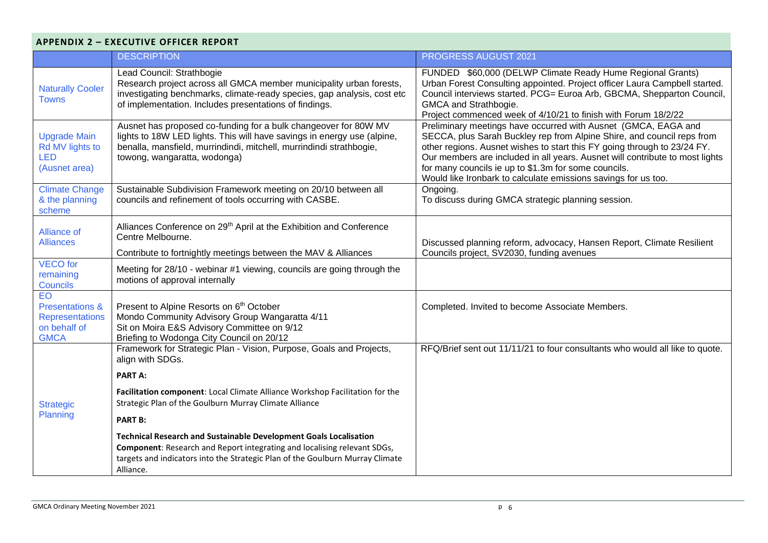## **APPENDIX 2 – EXECUTIVE OFFICER REPORT**

|                                                                                           | <b>DESCRIPTION</b>                                                                                                                                                                                                                                        | PROGRESS AUGUST 2021                                                                                                                                                                                                                                                                                                                                                                                                           |
|-------------------------------------------------------------------------------------------|-----------------------------------------------------------------------------------------------------------------------------------------------------------------------------------------------------------------------------------------------------------|--------------------------------------------------------------------------------------------------------------------------------------------------------------------------------------------------------------------------------------------------------------------------------------------------------------------------------------------------------------------------------------------------------------------------------|
| <b>Naturally Cooler</b><br><b>Towns</b>                                                   | Lead Council: Strathbogie<br>Research project across all GMCA member municipality urban forests,<br>investigating benchmarks, climate-ready species, gap analysis, cost etc<br>of implementation. Includes presentations of findings.                     | FUNDED \$60,000 (DELWP Climate Ready Hume Regional Grants)<br>Urban Forest Consulting appointed. Project officer Laura Campbell started.<br>Council interviews started. PCG= Euroa Arb, GBCMA, Shepparton Council,<br>GMCA and Strathbogie.<br>Project commenced week of 4/10/21 to finish with Forum 18/2/22                                                                                                                  |
| <b>Upgrade Main</b><br>Rd MV lights to<br><b>LED</b><br>(Ausnet area)                     | Ausnet has proposed co-funding for a bulk changeover for 80W MV<br>lights to 18W LED lights. This will have savings in energy use (alpine,<br>benalla, mansfield, murrindindi, mitchell, murrindindi strathbogie,<br>towong, wangaratta, wodonga)         | Preliminary meetings have occurred with Ausnet (GMCA, EAGA and<br>SECCA, plus Sarah Buckley rep from Alpine Shire, and council reps from<br>other regions. Ausnet wishes to start this FY going through to 23/24 FY.<br>Our members are included in all years. Ausnet will contribute to most lights<br>for many councils ie up to \$1.3m for some councils.<br>Would like Ironbark to calculate emissions savings for us too. |
| <b>Climate Change</b><br>& the planning<br>scheme                                         | Sustainable Subdivision Framework meeting on 20/10 between all<br>councils and refinement of tools occurring with CASBE.                                                                                                                                  | Ongoing.<br>To discuss during GMCA strategic planning session.                                                                                                                                                                                                                                                                                                                                                                 |
| Alliance of<br><b>Alliances</b>                                                           | Alliances Conference on 29 <sup>th</sup> April at the Exhibition and Conference<br>Centre Melbourne.<br>Contribute to fortnightly meetings between the MAV & Alliances                                                                                    | Discussed planning reform, advocacy, Hansen Report, Climate Resilient<br>Councils project, SV2030, funding avenues                                                                                                                                                                                                                                                                                                             |
| <b>VECO</b> for<br>remaining<br>Councils                                                  | Meeting for 28/10 - webinar #1 viewing, councils are going through the<br>motions of approval internally                                                                                                                                                  |                                                                                                                                                                                                                                                                                                                                                                                                                                |
| EO<br><b>Presentations &amp;</b><br><b>Representations</b><br>on behalf of<br><b>GMCA</b> | Present to Alpine Resorts on 6 <sup>th</sup> October<br>Mondo Community Advisory Group Wangaratta 4/11<br>Sit on Moira E&S Advisory Committee on 9/12<br>Briefing to Wodonga City Council on 20/12                                                        | Completed. Invited to become Associate Members.                                                                                                                                                                                                                                                                                                                                                                                |
|                                                                                           | Framework for Strategic Plan - Vision, Purpose, Goals and Projects,<br>align with SDGs.                                                                                                                                                                   | RFQ/Brief sent out 11/11/21 to four consultants who would all like to quote.                                                                                                                                                                                                                                                                                                                                                   |
|                                                                                           | <b>PART A:</b>                                                                                                                                                                                                                                            |                                                                                                                                                                                                                                                                                                                                                                                                                                |
| <b>Strategic</b>                                                                          | Facilitation component: Local Climate Alliance Workshop Facilitation for the<br>Strategic Plan of the Goulburn Murray Climate Alliance                                                                                                                    |                                                                                                                                                                                                                                                                                                                                                                                                                                |
| Planning                                                                                  | <b>PART B:</b>                                                                                                                                                                                                                                            |                                                                                                                                                                                                                                                                                                                                                                                                                                |
|                                                                                           | <b>Technical Research and Sustainable Development Goals Localisation</b><br><b>Component:</b> Research and Report integrating and localising relevant SDGs,<br>targets and indicators into the Strategic Plan of the Goulburn Murray Climate<br>Alliance. |                                                                                                                                                                                                                                                                                                                                                                                                                                |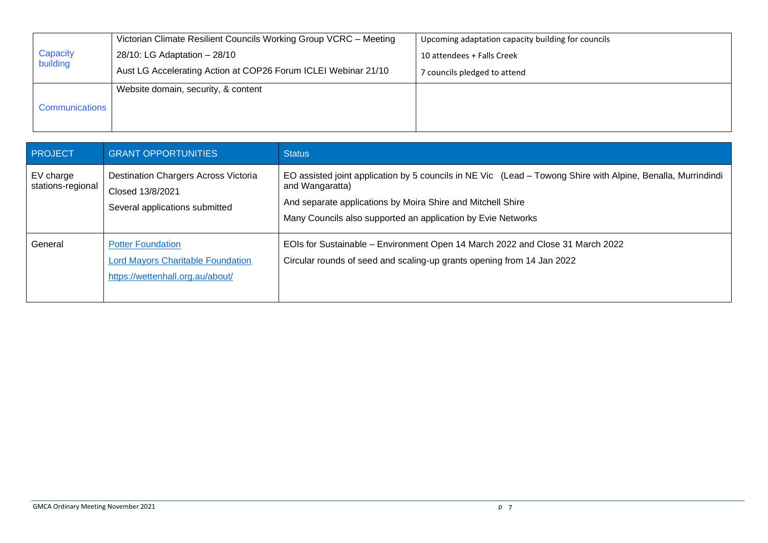|                      | Victorian Climate Resilient Councils Working Group VCRC - Meeting | Upcoming adaptation capacity building for councils |
|----------------------|-------------------------------------------------------------------|----------------------------------------------------|
| Capacity<br>building | 28/10: LG Adaptation - 28/10                                      | 10 attendees + Falls Creek                         |
|                      | Aust LG Accelerating Action at COP26 Forum ICLEI Webinar 21/10    | 7 councils pledged to attend                       |
|                      | Website domain, security, & content                               |                                                    |
| Communications       |                                                                   |                                                    |
|                      |                                                                   |                                                    |

| <b>PROJECT</b>                 | <b>GRANT OPPORTUNITIES</b>                                                                               | <b>Status</b>                                                                                                                                                                                                                                                  |
|--------------------------------|----------------------------------------------------------------------------------------------------------|----------------------------------------------------------------------------------------------------------------------------------------------------------------------------------------------------------------------------------------------------------------|
| EV charge<br>stations-regional | Destination Chargers Across Victoria<br>Closed 13/8/2021<br>Several applications submitted               | EO assisted joint application by 5 councils in NE Vic (Lead – Towong Shire with Alpine, Benalla, Murrindindi<br>and Wangaratta)<br>And separate applications by Moira Shire and Mitchell Shire<br>Many Councils also supported an application by Evie Networks |
| General                        | <b>Potter Foundation</b><br><b>Lord Mayors Charitable Foundation</b><br>https://wettenhall.org.au/about/ | EOIs for Sustainable - Environment Open 14 March 2022 and Close 31 March 2022<br>Circular rounds of seed and scaling-up grants opening from 14 Jan 2022                                                                                                        |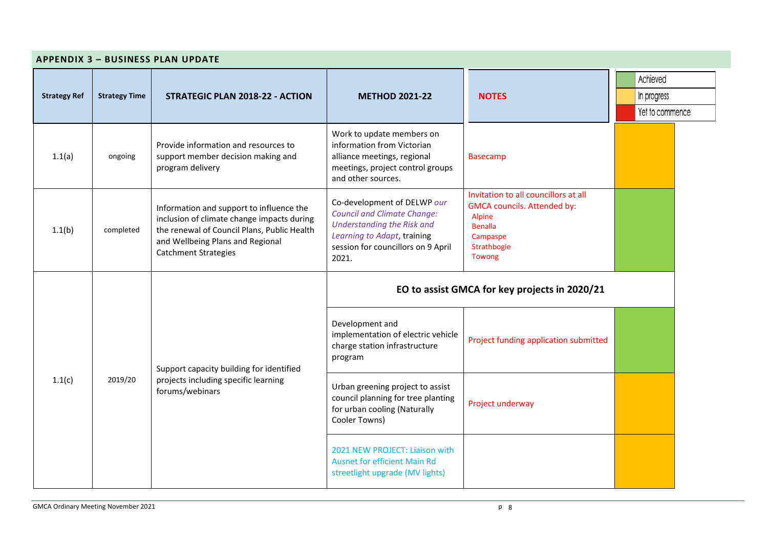| <b>APPENDIX 3 - BUSINESS PLAN UPDATE</b> |                      |                                                                                                                                                                                                          |                                                                                                                                                                               |                                                                                                                                             |                                            |  |  |
|------------------------------------------|----------------------|----------------------------------------------------------------------------------------------------------------------------------------------------------------------------------------------------------|-------------------------------------------------------------------------------------------------------------------------------------------------------------------------------|---------------------------------------------------------------------------------------------------------------------------------------------|--------------------------------------------|--|--|
| <b>Strategy Ref</b>                      | <b>Strategy Time</b> | STRATEGIC PLAN 2018-22 - ACTION                                                                                                                                                                          | <b>METHOD 2021-22</b>                                                                                                                                                         | <b>NOTES</b>                                                                                                                                | Achieved<br>In progress<br>Yet to commence |  |  |
| 1.1(a)                                   | ongoing              | Provide information and resources to<br>support member decision making and<br>program delivery                                                                                                           | Work to update members on<br>information from Victorian<br>alliance meetings, regional<br>meetings, project control groups<br>and other sources.                              | <b>Basecamp</b>                                                                                                                             |                                            |  |  |
| 1.1(b)                                   | completed            | Information and support to influence the<br>inclusion of climate change impacts during<br>the renewal of Council Plans, Public Health<br>and Wellbeing Plans and Regional<br><b>Catchment Strategies</b> | Co-development of DELWP our<br><b>Council and Climate Change:</b><br>Understanding the Risk and<br>Learning to Adapt, training<br>session for councillors on 9 April<br>2021. | Invitation to all councillors at all<br><b>GMCA councils. Attended by:</b><br>Alpine<br><b>Benalla</b><br>Campaspe<br>Strathbogie<br>Towong |                                            |  |  |
| 1.1(c)                                   |                      | Support capacity building for identified<br>2019/20<br>projects including specific learning<br>forums/webinars                                                                                           | EO to assist GMCA for key projects in 2020/21                                                                                                                                 |                                                                                                                                             |                                            |  |  |
|                                          |                      |                                                                                                                                                                                                          | Development and<br>implementation of electric vehicle<br>charge station infrastructure<br>program                                                                             | Project funding application submitted                                                                                                       |                                            |  |  |
|                                          |                      |                                                                                                                                                                                                          | Urban greening project to assist<br>council planning for tree planting<br>for urban cooling (Naturally<br>Cooler Towns)                                                       | Project underway                                                                                                                            |                                            |  |  |
|                                          |                      |                                                                                                                                                                                                          | 2021 NEW PROJECT: Liaison with<br><b>Ausnet for efficient Main Rd</b><br>streetlight upgrade (MV lights)                                                                      |                                                                                                                                             |                                            |  |  |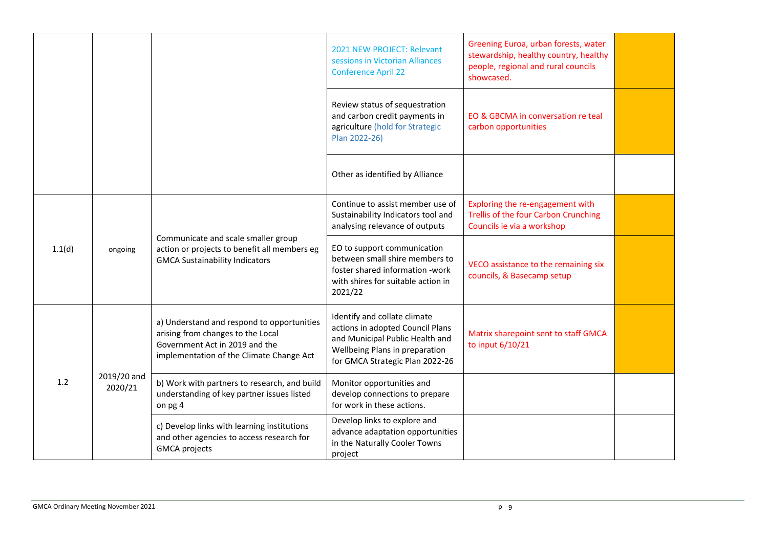|        |                        |                                                                                                                                                               | 2021 NEW PROJECT: Relevant<br>sessions in Victorian Alliances<br><b>Conference April 22</b>                                                                              | Greening Euroa, urban forests, water<br>stewardship, healthy country, healthy<br>people, regional and rural councils<br>showcased. |  |
|--------|------------------------|---------------------------------------------------------------------------------------------------------------------------------------------------------------|--------------------------------------------------------------------------------------------------------------------------------------------------------------------------|------------------------------------------------------------------------------------------------------------------------------------|--|
|        |                        |                                                                                                                                                               | Review status of sequestration<br>and carbon credit payments in<br>agriculture (hold for Strategic<br>Plan 2022-26)                                                      | EO & GBCMA in conversation re teal<br>carbon opportunities                                                                         |  |
|        |                        |                                                                                                                                                               | Other as identified by Alliance                                                                                                                                          |                                                                                                                                    |  |
| 1.1(d) | ongoing                | Communicate and scale smaller group<br>action or projects to benefit all members eg<br><b>GMCA Sustainability Indicators</b>                                  | Continue to assist member use of<br>Sustainability Indicators tool and<br>analysing relevance of outputs                                                                 | Exploring the re-engagement with<br>Trellis of the four Carbon Crunching<br>Councils ie via a workshop                             |  |
|        |                        |                                                                                                                                                               | EO to support communication<br>between small shire members to<br>foster shared information -work<br>with shires for suitable action in<br>2021/22                        | VECO assistance to the remaining six<br>councils, & Basecamp setup                                                                 |  |
|        |                        | a) Understand and respond to opportunities<br>arising from changes to the Local<br>Government Act in 2019 and the<br>implementation of the Climate Change Act | Identify and collate climate<br>actions in adopted Council Plans<br>and Municipal Public Health and<br>Wellbeing Plans in preparation<br>for GMCA Strategic Plan 2022-26 | Matrix sharepoint sent to staff GMCA<br>to input 6/10/21                                                                           |  |
| 1.2    | 2019/20 and<br>2020/21 | b) Work with partners to research, and build<br>understanding of key partner issues listed<br>on pg 4                                                         | Monitor opportunities and<br>develop connections to prepare<br>for work in these actions.                                                                                |                                                                                                                                    |  |
|        |                        | c) Develop links with learning institutions<br>and other agencies to access research for<br><b>GMCA</b> projects                                              | Develop links to explore and<br>advance adaptation opportunities<br>in the Naturally Cooler Towns<br>project                                                             |                                                                                                                                    |  |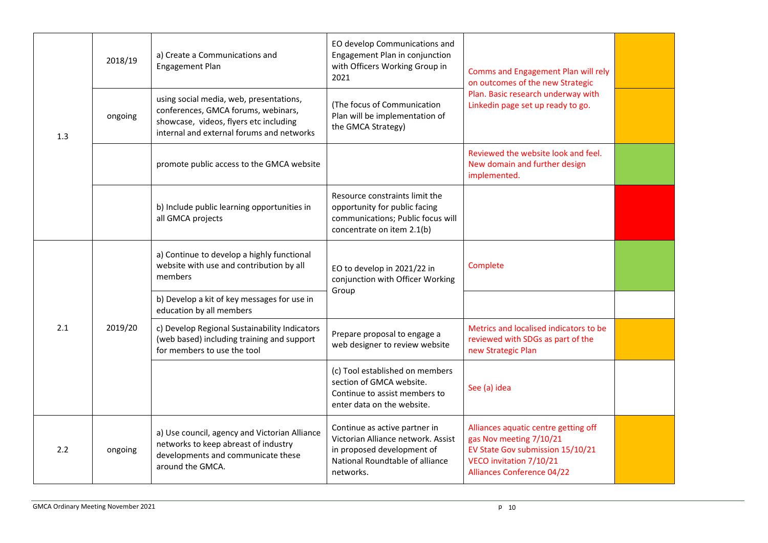|     | 2018/19 | a) Create a Communications and<br>Engagement Plan                                                                                                                     | EO develop Communications and<br>Engagement Plan in conjunction<br>with Officers Working Group in<br>2021                                         | Comms and Engagement Plan will rely<br>on outcomes of the new Strategic<br>Plan. Basic research underway with<br>Linkedin page set up ready to go.                  |  |
|-----|---------|-----------------------------------------------------------------------------------------------------------------------------------------------------------------------|---------------------------------------------------------------------------------------------------------------------------------------------------|---------------------------------------------------------------------------------------------------------------------------------------------------------------------|--|
| 1.3 | ongoing | using social media, web, presentations,<br>conferences, GMCA forums, webinars,<br>showcase, videos, flyers etc including<br>internal and external forums and networks | (The focus of Communication<br>Plan will be implementation of<br>the GMCA Strategy)                                                               |                                                                                                                                                                     |  |
|     |         | promote public access to the GMCA website                                                                                                                             |                                                                                                                                                   | Reviewed the website look and feel.<br>New domain and further design<br>implemented.                                                                                |  |
|     |         | b) Include public learning opportunities in<br>all GMCA projects                                                                                                      | Resource constraints limit the<br>opportunity for public facing<br>communications; Public focus will<br>concentrate on item 2.1(b)                |                                                                                                                                                                     |  |
|     | 2019/20 | a) Continue to develop a highly functional<br>website with use and contribution by all<br>members                                                                     | EO to develop in 2021/22 in<br>conjunction with Officer Working<br>Group                                                                          | Complete                                                                                                                                                            |  |
|     |         | b) Develop a kit of key messages for use in<br>education by all members                                                                                               |                                                                                                                                                   |                                                                                                                                                                     |  |
| 2.1 |         | c) Develop Regional Sustainability Indicators<br>(web based) including training and support<br>for members to use the tool                                            | Prepare proposal to engage a<br>web designer to review website                                                                                    | Metrics and localised indicators to be<br>reviewed with SDGs as part of the<br>new Strategic Plan                                                                   |  |
|     |         |                                                                                                                                                                       | (c) Tool established on members<br>section of GMCA website.<br>Continue to assist members to<br>enter data on the website.                        | See (a) idea                                                                                                                                                        |  |
| 2.2 | ongoing | a) Use council, agency and Victorian Alliance<br>networks to keep abreast of industry<br>developments and communicate these<br>around the GMCA.                       | Continue as active partner in<br>Victorian Alliance network. Assist<br>in proposed development of<br>National Roundtable of alliance<br>networks. | Alliances aquatic centre getting off<br>gas Nov meeting 7/10/21<br>EV State Gov submission 15/10/21<br>VECO invitation 7/10/21<br><b>Alliances Conference 04/22</b> |  |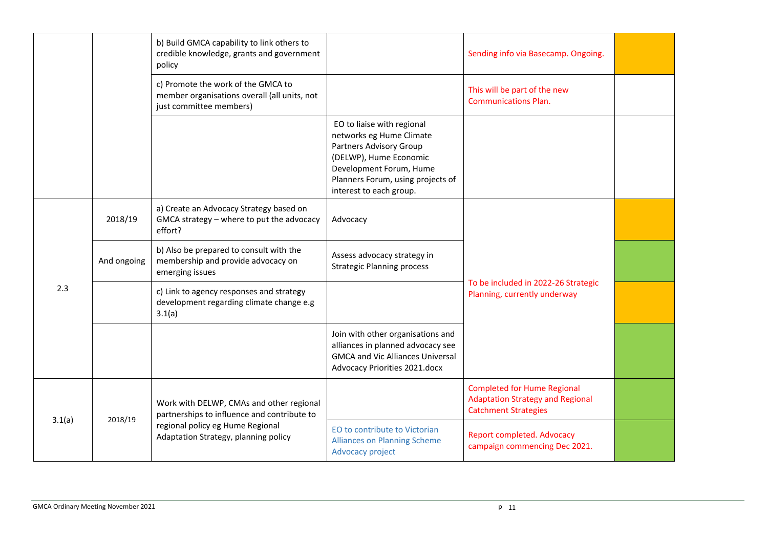|        |             | b) Build GMCA capability to link others to<br>credible knowledge, grants and government<br>policy             |                                                                                                                                                                                                        | Sending info via Basecamp. Ongoing.                                                                          |  |
|--------|-------------|---------------------------------------------------------------------------------------------------------------|--------------------------------------------------------------------------------------------------------------------------------------------------------------------------------------------------------|--------------------------------------------------------------------------------------------------------------|--|
|        |             | c) Promote the work of the GMCA to<br>member organisations overall (all units, not<br>just committee members) |                                                                                                                                                                                                        | This will be part of the new<br><b>Communications Plan.</b>                                                  |  |
|        |             |                                                                                                               | EO to liaise with regional<br>networks eg Hume Climate<br>Partners Advisory Group<br>(DELWP), Hume Economic<br>Development Forum, Hume<br>Planners Forum, using projects of<br>interest to each group. |                                                                                                              |  |
|        | 2018/19     | a) Create an Advocacy Strategy based on<br>GMCA strategy - where to put the advocacy<br>effort?               | Advocacy                                                                                                                                                                                               |                                                                                                              |  |
|        | And ongoing | b) Also be prepared to consult with the<br>membership and provide advocacy on<br>emerging issues              | Assess advocacy strategy in<br><b>Strategic Planning process</b>                                                                                                                                       |                                                                                                              |  |
| 2.3    |             | c) Link to agency responses and strategy<br>development regarding climate change e.g<br>3.1(a)                |                                                                                                                                                                                                        | To be included in 2022-26 Strategic<br>Planning, currently underway                                          |  |
|        |             |                                                                                                               | Join with other organisations and<br>alliances in planned advocacy see<br><b>GMCA and Vic Alliances Universal</b><br>Advocacy Priorities 2021.docx                                                     |                                                                                                              |  |
|        | 2018/19     | Work with DELWP, CMAs and other regional<br>partnerships to influence and contribute to                       |                                                                                                                                                                                                        | <b>Completed for Hume Regional</b><br><b>Adaptation Strategy and Regional</b><br><b>Catchment Strategies</b> |  |
| 3.1(a) |             | regional policy eg Hume Regional<br>Adaptation Strategy, planning policy                                      | EO to contribute to Victorian<br><b>Alliances on Planning Scheme</b><br>Advocacy project                                                                                                               | <b>Report completed. Advocacy</b><br>campaign commencing Dec 2021.                                           |  |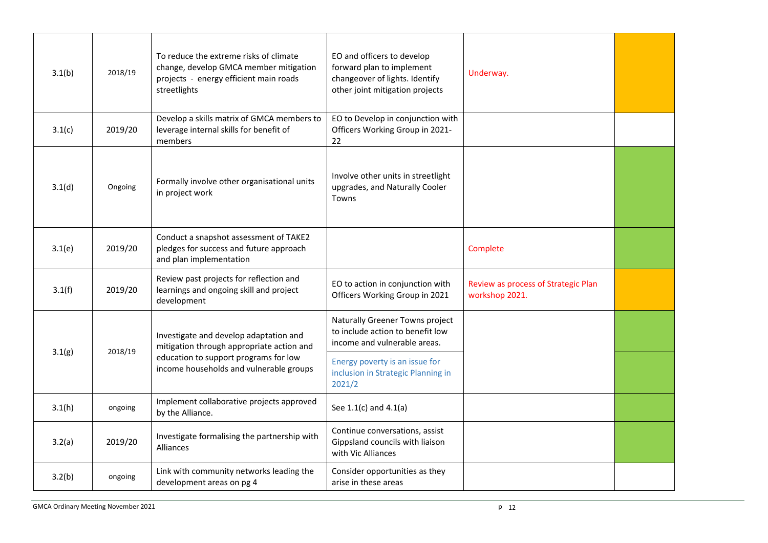| 3.1(b) | 2018/19 | To reduce the extreme risks of climate<br>change, develop GMCA member mitigation<br>projects - energy efficient main roads<br>streetlights | EO and officers to develop<br>forward plan to implement<br>changeover of lights. Identify<br>other joint mitigation projects | Underway.                                             |  |
|--------|---------|--------------------------------------------------------------------------------------------------------------------------------------------|------------------------------------------------------------------------------------------------------------------------------|-------------------------------------------------------|--|
| 3.1(c) | 2019/20 | Develop a skills matrix of GMCA members to<br>leverage internal skills for benefit of<br>members                                           | EO to Develop in conjunction with<br>Officers Working Group in 2021-<br>22                                                   |                                                       |  |
| 3.1(d) | Ongoing | Formally involve other organisational units<br>in project work                                                                             | Involve other units in streetlight<br>upgrades, and Naturally Cooler<br>Towns                                                |                                                       |  |
| 3.1(e) | 2019/20 | Conduct a snapshot assessment of TAKE2<br>pledges for success and future approach<br>and plan implementation                               |                                                                                                                              | Complete                                              |  |
| 3.1(f) | 2019/20 | Review past projects for reflection and<br>learnings and ongoing skill and project<br>development                                          | EO to action in conjunction with<br>Officers Working Group in 2021                                                           | Review as process of Strategic Plan<br>workshop 2021. |  |
|        |         | Investigate and develop adaptation and<br>mitigation through appropriate action and                                                        | Naturally Greener Towns project<br>to include action to benefit low<br>income and vulnerable areas.                          |                                                       |  |
| 3.1(g) | 2018/19 | education to support programs for low<br>income households and vulnerable groups                                                           | Energy poverty is an issue for<br>inclusion in Strategic Planning in<br>2021/2                                               |                                                       |  |
| 3.1(h) | ongoing | Implement collaborative projects approved<br>by the Alliance.                                                                              | See $1.1(c)$ and $4.1(a)$                                                                                                    |                                                       |  |
| 3.2(a) | 2019/20 | Investigate formalising the partnership with<br><b>Alliances</b>                                                                           | Continue conversations, assist<br>Gippsland councils with liaison<br>with Vic Alliances                                      |                                                       |  |
| 3.2(b) | ongoing | Link with community networks leading the<br>development areas on pg 4                                                                      | Consider opportunities as they<br>arise in these areas                                                                       |                                                       |  |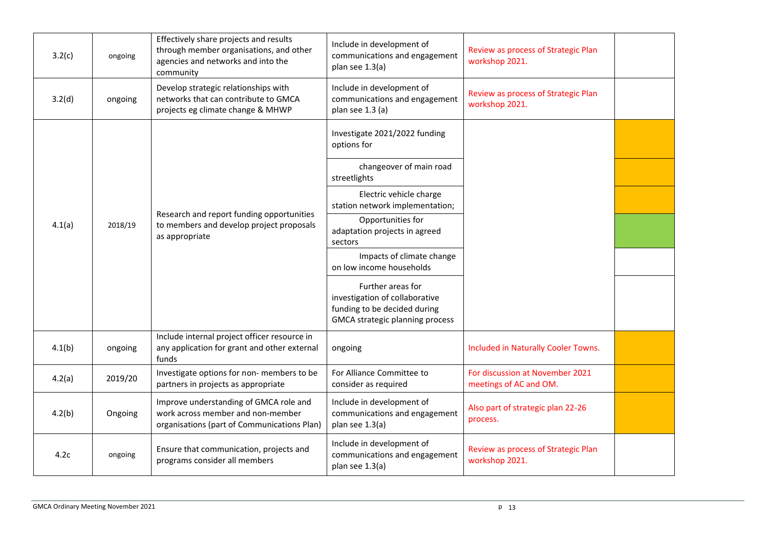| 3.2(c) | ongoing | Effectively share projects and results<br>through member organisations, and other<br>agencies and networks and into the<br>community | Include in development of<br>communications and engagement<br>plan see 1.3(a)                                                 | Review as process of Strategic Plan<br>workshop 2021.     |  |
|--------|---------|--------------------------------------------------------------------------------------------------------------------------------------|-------------------------------------------------------------------------------------------------------------------------------|-----------------------------------------------------------|--|
| 3.2(d) | ongoing | Develop strategic relationships with<br>networks that can contribute to GMCA<br>projects eg climate change & MHWP                    | Include in development of<br>communications and engagement<br>plan see 1.3 (a)                                                | Review as process of Strategic Plan<br>workshop 2021.     |  |
|        |         |                                                                                                                                      | Investigate 2021/2022 funding<br>options for                                                                                  |                                                           |  |
|        |         |                                                                                                                                      | changeover of main road<br>streetlights                                                                                       |                                                           |  |
|        |         |                                                                                                                                      | Electric vehicle charge<br>station network implementation;                                                                    |                                                           |  |
| 4.1(a) | 2018/19 | Research and report funding opportunities<br>to members and develop project proposals<br>as appropriate                              | Opportunities for<br>adaptation projects in agreed<br>sectors                                                                 |                                                           |  |
|        |         |                                                                                                                                      | Impacts of climate change<br>on low income households                                                                         |                                                           |  |
|        |         |                                                                                                                                      | Further areas for<br>investigation of collaborative<br>funding to be decided during<br><b>GMCA strategic planning process</b> |                                                           |  |
| 4.1(b) | ongoing | Include internal project officer resource in<br>any application for grant and other external<br>funds                                | ongoing                                                                                                                       | Included in Naturally Cooler Towns.                       |  |
| 4.2(a) | 2019/20 | Investigate options for non- members to be<br>partners in projects as appropriate                                                    | For Alliance Committee to<br>consider as required                                                                             | For discussion at November 2021<br>meetings of AC and OM. |  |
| 4.2(b) | Ongoing | Improve understanding of GMCA role and<br>work across member and non-member<br>organisations (part of Communications Plan)           | Include in development of<br>communications and engagement<br>plan see 1.3(a)                                                 | Also part of strategic plan 22-26<br>process.             |  |
| 4.2c   | ongoing | Ensure that communication, projects and<br>programs consider all members                                                             | Include in development of<br>communications and engagement<br>plan see 1.3(a)                                                 | Review as process of Strategic Plan<br>workshop 2021.     |  |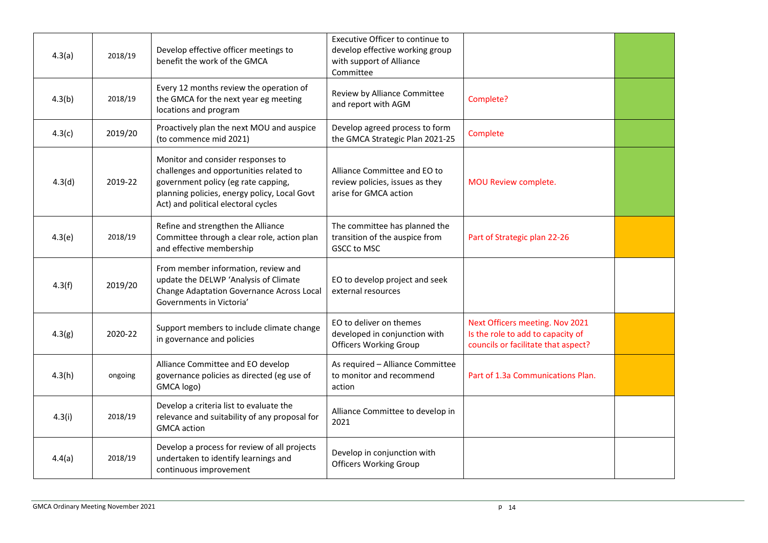| 4.3(a) | 2018/19 | Develop effective officer meetings to<br>benefit the work of the GMCA                                                                                                                                      | Executive Officer to continue to<br>develop effective working group<br>with support of Alliance<br>Committee |                                                                                                             |  |
|--------|---------|------------------------------------------------------------------------------------------------------------------------------------------------------------------------------------------------------------|--------------------------------------------------------------------------------------------------------------|-------------------------------------------------------------------------------------------------------------|--|
| 4.3(b) | 2018/19 | Every 12 months review the operation of<br>the GMCA for the next year eg meeting<br>locations and program                                                                                                  | Review by Alliance Committee<br>and report with AGM                                                          | Complete?                                                                                                   |  |
| 4.3(c) | 2019/20 | Proactively plan the next MOU and auspice<br>(to commence mid 2021)                                                                                                                                        | Develop agreed process to form<br>the GMCA Strategic Plan 2021-25                                            | Complete                                                                                                    |  |
| 4.3(d) | 2019-22 | Monitor and consider responses to<br>challenges and opportunities related to<br>government policy (eg rate capping,<br>planning policies, energy policy, Local Govt<br>Act) and political electoral cycles | Alliance Committee and EO to<br>review policies, issues as they<br>arise for GMCA action                     | MOU Review complete.                                                                                        |  |
| 4.3(e) | 2018/19 | Refine and strengthen the Alliance<br>Committee through a clear role, action plan<br>and effective membership                                                                                              | The committee has planned the<br>transition of the auspice from<br><b>GSCC to MSC</b>                        | Part of Strategic plan 22-26                                                                                |  |
| 4.3(f) | 2019/20 | From member information, review and<br>update the DELWP 'Analysis of Climate<br><b>Change Adaptation Governance Across Local</b><br>Governments in Victoria'                                               | EO to develop project and seek<br>external resources                                                         |                                                                                                             |  |
| 4.3(g) | 2020-22 | Support members to include climate change<br>in governance and policies                                                                                                                                    | EO to deliver on themes<br>developed in conjunction with<br><b>Officers Working Group</b>                    | Next Officers meeting. Nov 2021<br>Is the role to add to capacity of<br>councils or facilitate that aspect? |  |
| 4.3(h) | ongoing | Alliance Committee and EO develop<br>governance policies as directed (eg use of<br>GMCA logo)                                                                                                              | As required - Alliance Committee<br>to monitor and recommend<br>action                                       | Part of 1.3a Communications Plan.                                                                           |  |
| 4.3(i) | 2018/19 | Develop a criteria list to evaluate the<br>relevance and suitability of any proposal for<br><b>GMCA</b> action                                                                                             | Alliance Committee to develop in<br>2021                                                                     |                                                                                                             |  |
| 4.4(a) | 2018/19 | Develop a process for review of all projects<br>undertaken to identify learnings and<br>continuous improvement                                                                                             | Develop in conjunction with<br><b>Officers Working Group</b>                                                 |                                                                                                             |  |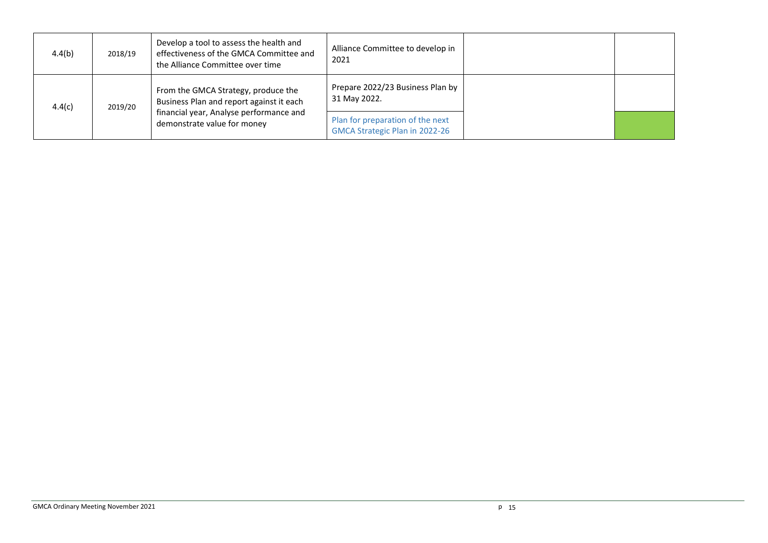| 4.4(b) | 2018/19                                                                                                                                                              | Develop a tool to assess the health and<br>effectiveness of the GMCA Committee and<br>the Alliance Committee over time | Alliance Committee to develop in<br>2021         |  |
|--------|----------------------------------------------------------------------------------------------------------------------------------------------------------------------|------------------------------------------------------------------------------------------------------------------------|--------------------------------------------------|--|
| 4.4(c) | From the GMCA Strategy, produce the<br>Business Plan and report against it each<br>2019/20<br>financial year, Analyse performance and<br>demonstrate value for money |                                                                                                                        | Prepare 2022/23 Business Plan by<br>31 May 2022. |  |
|        |                                                                                                                                                                      | Plan for preparation of the next<br>GMCA Strategic Plan in 2022-26                                                     |                                                  |  |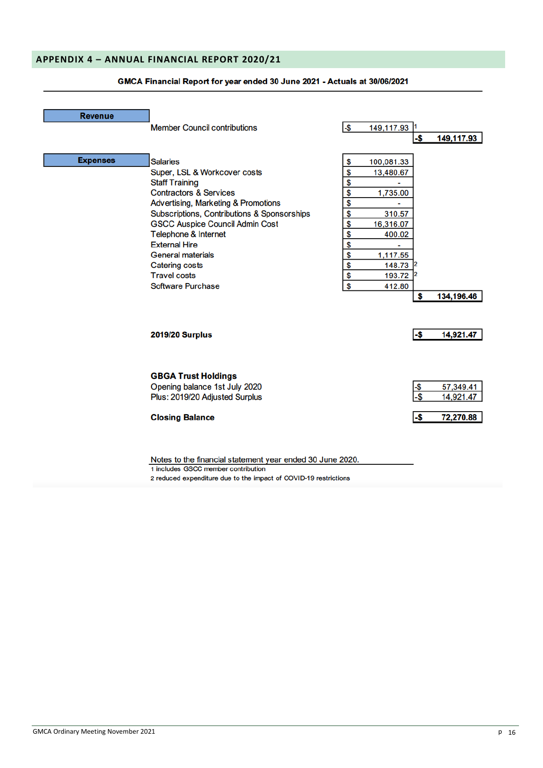## **APPENDIX 4 – ANNUAL FINANCIAL REPORT 2020/21**

| <b>Revenue</b>  |                                             |      |               |      |            |
|-----------------|---------------------------------------------|------|---------------|------|------------|
|                 | <b>Member Council contributions</b>         | $-5$ | 149, 117.93 1 |      |            |
|                 |                                             |      |               | -\$  | 149,117.93 |
|                 |                                             |      |               |      |            |
| <b>Expenses</b> | <b>Salaries</b>                             | \$   | 100,081.33    |      |            |
|                 | Super, LSL & Workcover costs                | \$   | 13,480.67     |      |            |
|                 | <b>Staff Training</b>                       | \$   |               |      |            |
|                 | <b>Contractors &amp; Services</b>           | \$   | 1,735.00      |      |            |
|                 | Advertising, Marketing & Promotions         | \$   |               |      |            |
|                 | Subscriptions, Contributions & Sponsorships | \$   | 310.57        |      |            |
|                 | <b>GSCC Auspice Council Admin Cost</b>      | \$   | 16,316.07     |      |            |
|                 | <b>Telephone &amp; Internet</b>             | \$   | 400.02        |      |            |
|                 | <b>External Hire</b>                        | \$   |               |      |            |
|                 | <b>General materials</b>                    | \$   | 1,117.55      |      |            |
|                 | <b>Catering costs</b>                       | \$   | 148.73        |      |            |
|                 | <b>Travel costs</b>                         | \$   | 193.72 2      |      |            |
|                 | Software Purchase                           | \$   | 412.80        |      |            |
|                 |                                             |      |               | \$   | 134,196.46 |
|                 |                                             |      |               |      |            |
|                 | <b>2019/20 Surplus</b>                      |      |               | -\$  | 14,921.47  |
|                 |                                             |      |               |      |            |
|                 | <b>GBGA Trust Holdings</b>                  |      |               |      |            |
|                 | Opening balance 1st July 2020               |      |               | -\$  | 57,349.41  |
|                 | Plus: 2019/20 Adjusted Surplus              |      |               | $-5$ | 14,921.47  |
|                 | <b>Closing Balance</b>                      |      |               | -\$  | 72,270.88  |
|                 |                                             |      |               |      |            |

### GMCA Financial Report for year ended 30 June 2021 - Actuals at 30/06/2021

Notes to the financial statement year ended 30 June 2020. 1 includes GSCC member contribution

2 reduced expenditure due to the impact of COVID-19 restrictions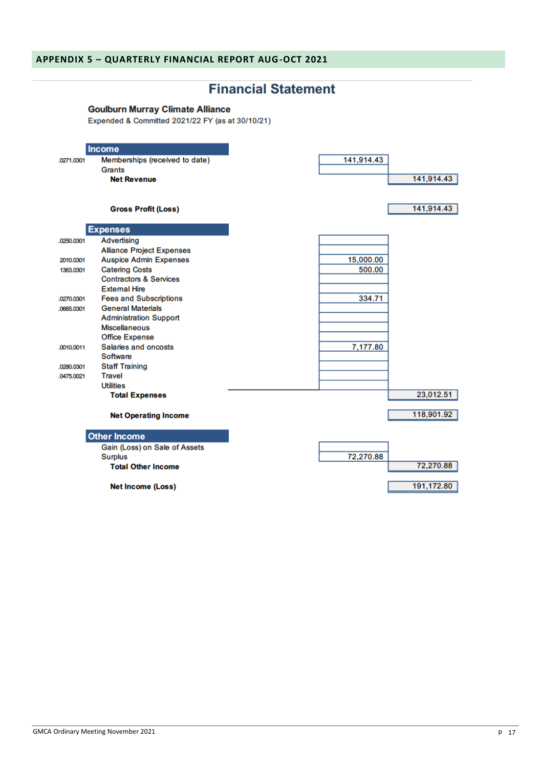# **Financial Statement**

## **Goulburn Murray Climate Alliance**

Expended & Committed 2021/22 FY (as at 30/10/21)

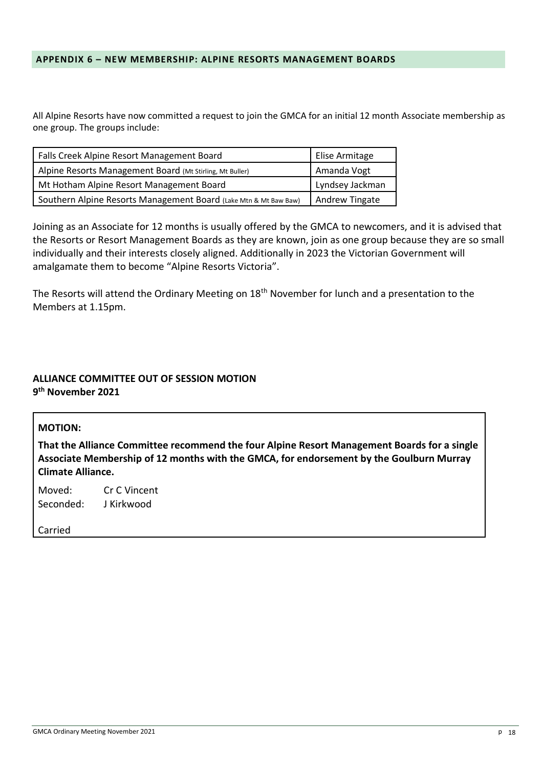## **APPENDIX 6 – NEW MEMBERSHIP: ALPINE RESORTS MANAGEMENT BOARDS**

All Alpine Resorts have now committed a request to join the GMCA for an initial 12 month Associate membership as one group. The groups include:

| Falls Creek Alpine Resort Management Board                       | Elise Armitage  |
|------------------------------------------------------------------|-----------------|
| Alpine Resorts Management Board (Mt Stirling, Mt Buller)         | Amanda Vogt     |
| Mt Hotham Alpine Resort Management Board                         | Lyndsey Jackman |
| Southern Alpine Resorts Management Board (Lake Mtn & Mt Baw Baw) | Andrew Tingate  |

Joining as an Associate for 12 months is usually offered by the GMCA to newcomers, and it is advised that the Resorts or Resort Management Boards as they are known, join as one group because they are so small individually and their interests closely aligned. Additionally in 2023 the Victorian Government will amalgamate them to become "Alpine Resorts Victoria".

The Resorts will attend the Ordinary Meeting on 18<sup>th</sup> November for lunch and a presentation to the Members at 1.15pm.

# **ALLIANCE COMMITTEE OUT OF SESSION MOTION 9 th November 2021**

| <b>MOTION:</b>      |                                                                                                                                                                                                                    |  |  |  |  |
|---------------------|--------------------------------------------------------------------------------------------------------------------------------------------------------------------------------------------------------------------|--|--|--|--|
|                     | That the Alliance Committee recommend the four Alpine Resort Management Boards for a single<br>Associate Membership of 12 months with the GMCA, for endorsement by the Goulburn Murray<br><b>Climate Alliance.</b> |  |  |  |  |
| Moved:<br>Seconded: | Cr C Vincent<br>J Kirkwood                                                                                                                                                                                         |  |  |  |  |
| Carried             |                                                                                                                                                                                                                    |  |  |  |  |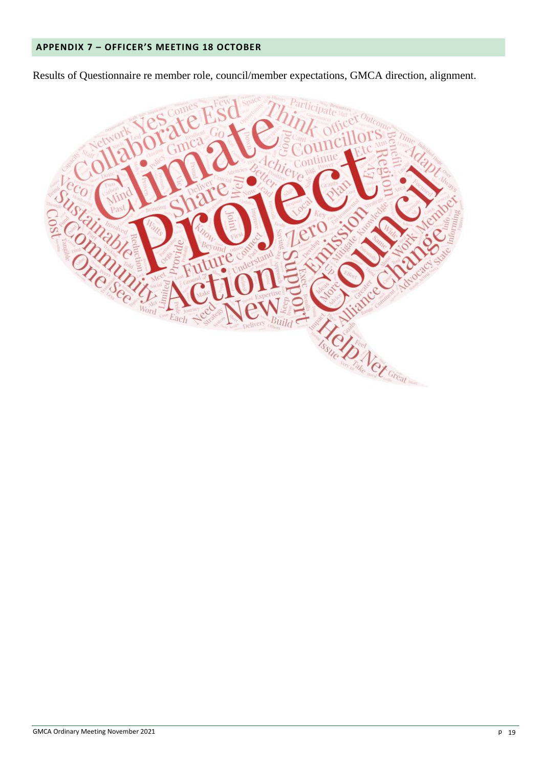Results of Questionnaire re member role, council/member expectations, GMCA direction, alignment.

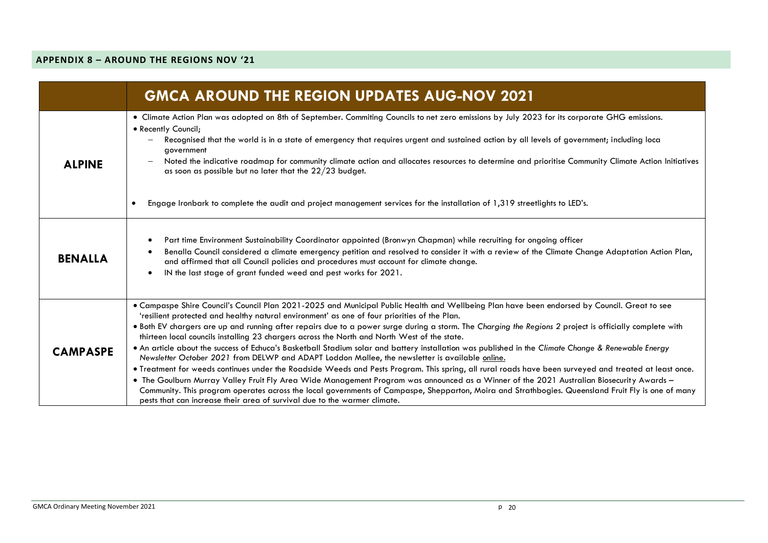## **APPENDIX 8 – AROUND THE REGIONS NOV '21**

|                 | <b>GMCA AROUND THE REGION UPDATES AUG-NOV 2021</b>                                                                                                                                                                                                                                                                                                                                                                                                                                                                                                                                                                                                                                                                                                                                                                                                                                                                                                                                                                                                                                                                                                                                                                                                                                                          |
|-----------------|-------------------------------------------------------------------------------------------------------------------------------------------------------------------------------------------------------------------------------------------------------------------------------------------------------------------------------------------------------------------------------------------------------------------------------------------------------------------------------------------------------------------------------------------------------------------------------------------------------------------------------------------------------------------------------------------------------------------------------------------------------------------------------------------------------------------------------------------------------------------------------------------------------------------------------------------------------------------------------------------------------------------------------------------------------------------------------------------------------------------------------------------------------------------------------------------------------------------------------------------------------------------------------------------------------------|
| <b>ALPINE</b>   | • Climate Action Plan was adopted on 8th of September. Commiting Councils to net zero emissions by July 2023 for its corporate GHG emissions.<br>• Recently Council;<br>Recognised that the world is in a state of emergency that requires urgent and sustained action by all levels of government; including loca<br>government<br>Noted the indicative roadmap for community climate action and allocates resources to determine and prioritise Community Climate Action Initiatives<br>as soon as possible but no later that the $22/23$ budget.<br>Engage Ironbark to complete the audit and project management services for the installation of 1,319 streetlights to LED's.<br>$\bullet$                                                                                                                                                                                                                                                                                                                                                                                                                                                                                                                                                                                                              |
| <b>BENALLA</b>  | Part time Environment Sustainability Coordinator appointed (Bronwyn Chapman) while recruiting for ongoing officer<br>$\bullet$<br>Benalla Council considered a climate emergency petition and resolved to consider it with a review of the Climate Change Adaptation Action Plan,<br>$\bullet$<br>and affirmed that all Council policies and procedures must account for climate change.<br>IN the last stage of grant funded weed and pest works for 2021.<br>$\bullet$                                                                                                                                                                                                                                                                                                                                                                                                                                                                                                                                                                                                                                                                                                                                                                                                                                    |
| <b>CAMPASPE</b> | . Campaspe Shire Council's Council Plan 2021-2025 and Municipal Public Health and Wellbeing Plan have been endorsed by Council. Great to see<br>'resilient protected and healthy natural environment' as one of four priorities of the Plan.<br>. Both EV chargers are up and running after repairs due to a power surge during a storm. The Charging the Regions 2 project is officially complete with<br>thirteen local councils installing 23 chargers across the North and North West of the state.<br>. An article about the success of Echuca's Basketball Stadium solar and battery installation was published in the Climate Change & Renewable Energy<br>Newsletter October 2021 from DELWP and ADAPT Loddon Mallee, the newsletter is available online.<br>. Treatment for weeds continues under the Roadside Weeds and Pests Program. This spring, all rural roads have been surveyed and treated at least once.<br>. The Goulburn Murray Valley Fruit Fly Area Wide Management Program was announced as a Winner of the 2021 Australian Biosecurity Awards -<br>Community. This program operates across the local governments of Campaspe, Shepparton, Moira and Strathbogies. Queensland Fruit Fly is one of many<br>pests that can increase their area of survival due to the warmer climate. |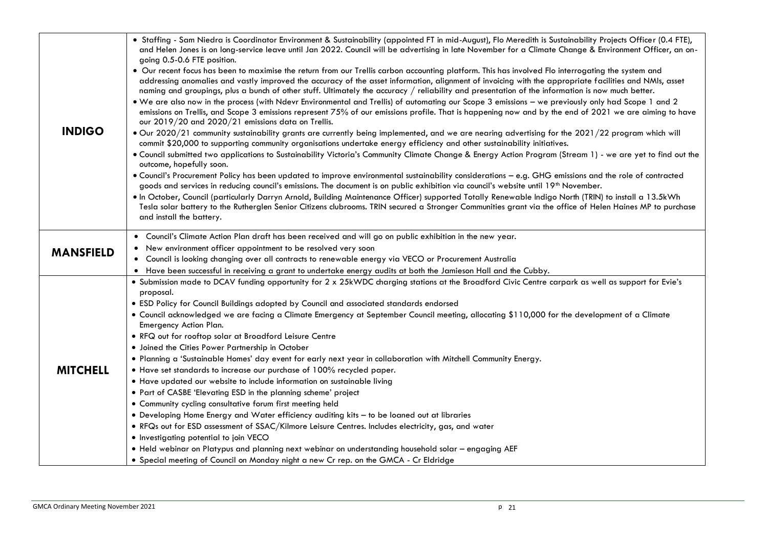| <b>INDIGO</b>    | . Staffing - Sam Niedra is Coordinator Environment & Sustainability (appointed FT in mid-August), Flo Meredith is Sustainability Projects Officer (0.4 FTE),<br>and Helen Jones is on long-service leave until Jan 2022. Council will be advertising in late November for a Climate Change & Environment Officer, an on-<br>going 0.5-0.6 FTE position.<br>• Our recent focus has been to maximise the return from our Trellis carbon accounting platform. This has involved Flo interrogating the system and<br>addressing anomalies and vastly improved the accuracy of the asset information, alignment of invoicing with the appropriate facilities and NMIs, asset<br>naming and groupings, plus a bunch of other stuff. Ultimately the accuracy / reliability and presentation of the information is now much better.<br>. We are also now in the process (with Ndevr Environmental and Trellis) of automating our Scope 3 emissions - we previously only had Scope 1 and 2<br>emissions on Trellis, and Scope 3 emissions represent 75% of our emissions profile. That is happening now and by the end of 2021 we are aiming to have<br>our 2019/20 and 2020/21 emissions data on Trellis.<br>. Our 2020/21 community sustainability grants are currently being implemented, and we are nearing advertising for the 2021/22 program which will<br>commit \$20,000 to supporting community organisations undertake energy efficiency and other sustainability initiatives.<br>. Council submitted two applications to Sustainability Victoria's Community Climate Change & Energy Action Program (Stream 1) - we are yet to find out the<br>outcome, hopefully soon.<br>. Council's Procurement Policy has been updated to improve environmental sustainability considerations - e.g. GHG emissions and the role of contracted<br>goods and services in reducing council's emissions. The document is on public exhibition via council's website until 19 <sup>th</sup> November.<br>. In October, Council (particularly Darryn Arnold, Building Maintenance Officer) supported Totally Renewable Indigo North (TRIN) to install a 13.5kWh<br>Tesla solar battery to the Rutherglen Senior Citizens clubrooms. TRIN secured a Stronger Communities grant via the office of Helen Haines MP to purchase<br>and install the battery. |
|------------------|------------------------------------------------------------------------------------------------------------------------------------------------------------------------------------------------------------------------------------------------------------------------------------------------------------------------------------------------------------------------------------------------------------------------------------------------------------------------------------------------------------------------------------------------------------------------------------------------------------------------------------------------------------------------------------------------------------------------------------------------------------------------------------------------------------------------------------------------------------------------------------------------------------------------------------------------------------------------------------------------------------------------------------------------------------------------------------------------------------------------------------------------------------------------------------------------------------------------------------------------------------------------------------------------------------------------------------------------------------------------------------------------------------------------------------------------------------------------------------------------------------------------------------------------------------------------------------------------------------------------------------------------------------------------------------------------------------------------------------------------------------------------------------------------------------------------------------------------------------------------------------------------------------------------------------------------------------------------------------------------------------------------------------------------------------------------------------------------------------------------------------------------------------------------------------------------------------------------------------------------------------------------------------------------------------------------------------------|
| <b>MANSFIELD</b> | . Council's Climate Action Plan draft has been received and will go on public exhibition in the new year.<br>• New environment officer appointment to be resolved very soon<br>• Council is looking changing over all contracts to renewable energy via VECO or Procurement Australia<br>• Have been successful in receiving a grant to undertake energy audits at both the Jamieson Hall and the Cubby.                                                                                                                                                                                                                                                                                                                                                                                                                                                                                                                                                                                                                                                                                                                                                                                                                                                                                                                                                                                                                                                                                                                                                                                                                                                                                                                                                                                                                                                                                                                                                                                                                                                                                                                                                                                                                                                                                                                                 |
| <b>MITCHELL</b>  | . Submission made to DCAV funding opportunity for 2 x 25kWDC charging stations at the Broadford Civic Centre carpark as well as support for Evie's<br>proposal.<br>. ESD Policy for Council Buildings adopted by Council and associated standards endorsed<br>• Council acknowledged we are facing a Climate Emergency at September Council meeting, allocating \$110,000 for the development of a Climate<br>Emergency Action Plan.<br>. RFQ out for rooftop solar at Broadford Leisure Centre<br>• Joined the Cities Power Partnership in October<br>. Planning a 'Sustainable Homes' day event for early next year in collaboration with Mitchell Community Energy.<br>• Have set standards to increase our purchase of 100% recycled paper.<br>• Have updated our website to include information on sustainable living<br>• Part of CASBE 'Elevating ESD in the planning scheme' project<br>• Community cycling consultative forum first meeting held<br>• Developing Home Energy and Water efficiency auditing kits - to be loaned out at libraries<br>. RFQs out for ESD assessment of SSAC/Kilmore Leisure Centres. Includes electricity, gas, and water<br>· Investigating potential to join VECO<br>. Held webinar on Platypus and planning next webinar on understanding household solar - engaging AEF<br>• Special meeting of Council on Monday night a new Cr rep. on the GMCA - Cr Eldridge                                                                                                                                                                                                                                                                                                                                                                                                                                                                                                                                                                                                                                                                                                                                                                                                                                                                                                                                |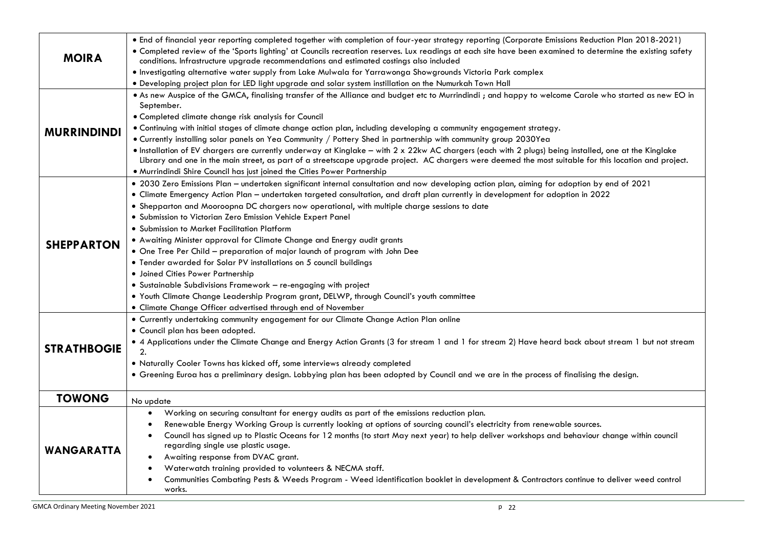| <b>MOIRA</b>       | . End of financial year reporting completed together with completion of four-year strategy reporting (Corporate Emissions Reduction Plan 2018-2021)<br>• Completed review of the 'Sports lighting' at Councils recreation reserves. Lux readings at each site have been examined to determine the existing safety<br>conditions. Infrastructure upgrade recommendations and estimated costings also included<br>. Investigating alternative water supply from Lake Mulwala for Yarrawonga Showgrounds Victoria Park complex<br>. Developing project plan for LED light upgrade and solar system instillation on the Numurkah Town Hall                                                                                                                                                                                                                                                                                                                                                                |
|--------------------|-------------------------------------------------------------------------------------------------------------------------------------------------------------------------------------------------------------------------------------------------------------------------------------------------------------------------------------------------------------------------------------------------------------------------------------------------------------------------------------------------------------------------------------------------------------------------------------------------------------------------------------------------------------------------------------------------------------------------------------------------------------------------------------------------------------------------------------------------------------------------------------------------------------------------------------------------------------------------------------------------------|
| <b>MURRINDINDI</b> | . As new Auspice of the GMCA, finalising transfer of the Alliance and budget etc to Murrindindi ; and happy to welcome Carole who started as new EO in<br>September.<br>· Completed climate change risk analysis for Council<br>. Continuing with initial stages of climate change action plan, including developing a community engagement strategy.<br>• Currently installing solar panels on Yea Community / Pottery Shed in partnership with community group 2030Yea<br>. Installation of EV chargers are currently underway at Kinglake - with 2 x 22kw AC chargers (each with 2 plugs) being installed, one at the Kinglake<br>Library and one in the main street, as part of a streetscape upgrade project. AC chargers were deemed the most suitable for this location and project.<br>. Murrindindi Shire Council has just joined the Cities Power Partnership                                                                                                                               |
| <b>SHEPPARTON</b>  | • 2030 Zero Emissions Plan - undertaken significant internal consultation and now developing action plan, aiming for adoption by end of 2021<br>• Climate Emergency Action Plan - undertaken targeted consultation, and draft plan currently in development for adoption in 2022<br>. Shepparton and Mooroopna DC chargers now operational, with multiple charge sessions to date<br>· Submission to Victorian Zero Emission Vehicle Expert Panel<br>• Submission to Market Facilitation Platform<br>. Awaiting Minister approval for Climate Change and Energy audit grants<br>• One Tree Per Child - preparation of major launch of program with John Dee<br>• Tender awarded for Solar PV installations on 5 council buildings<br>· Joined Cities Power Partnership<br>• Sustainable Subdivisions Framework - re-engaging with project<br>. Youth Climate Change Leadership Program grant, DELWP, through Council's youth committee<br>• Climate Change Officer advertised through end of November |
| <b>STRATHBOGIE</b> | • Currently undertaking community engagement for our Climate Change Action Plan online<br>• Council plan has been adopted.<br>• 4 Applications under the Climate Change and Energy Action Grants (3 for stream 1 and 1 for stream 2) Have heard back about stream 1 but not stream<br>2.<br>. Naturally Cooler Towns has kicked off, some interviews already completed<br>• Greening Euroa has a preliminary design. Lobbying plan has been adopted by Council and we are in the process of finalising the design.                                                                                                                                                                                                                                                                                                                                                                                                                                                                                    |
| <b>TOWONG</b>      | No update                                                                                                                                                                                                                                                                                                                                                                                                                                                                                                                                                                                                                                                                                                                                                                                                                                                                                                                                                                                             |
| <b>WANGARATTA</b>  | Working on securing consultant for energy audits as part of the emissions reduction plan.<br>$\bullet$<br>Renewable Energy Working Group is currently looking at options of sourcing council's electricity from renewable sources.<br>$\bullet$<br>Council has signed up to Plastic Oceans for 12 months (to start May next year) to help deliver workshops and behaviour change within council<br>regarding single use plastic usage.<br>Awaiting response from DVAC grant.<br>Waterwatch training provided to volunteers & NECMA staff.<br>Communities Combating Pests & Weeds Program - Weed identification booklet in development & Contractors continue to deliver weed control<br>works.                                                                                                                                                                                                                                                                                                        |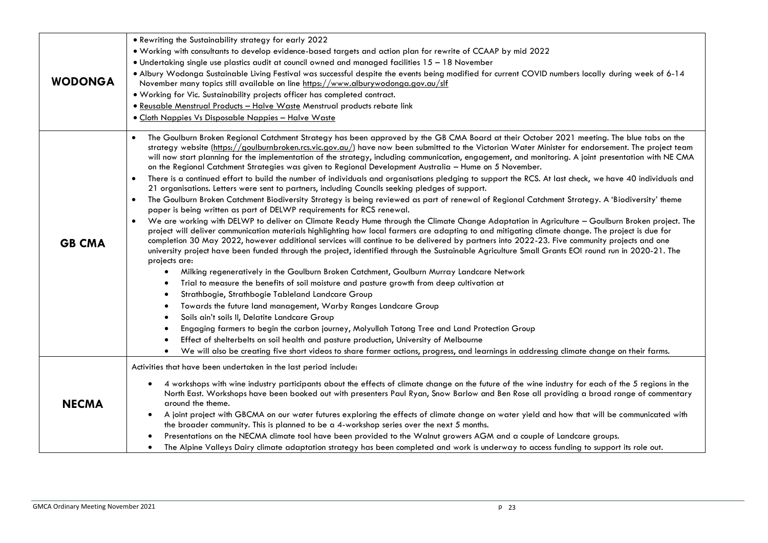| <b>WODONGA</b> | • Rewriting the Sustainability strategy for early 2022                                                                                                                                                                                                                                                                                                                                                                                                                                                                                                                                                                                 |
|----------------|----------------------------------------------------------------------------------------------------------------------------------------------------------------------------------------------------------------------------------------------------------------------------------------------------------------------------------------------------------------------------------------------------------------------------------------------------------------------------------------------------------------------------------------------------------------------------------------------------------------------------------------|
|                | . Working with consultants to develop evidence-based targets and action plan for rewrite of CCAAP by mid 2022                                                                                                                                                                                                                                                                                                                                                                                                                                                                                                                          |
|                | • Undertaking single use plastics audit at council owned and managed facilities 15 - 18 November                                                                                                                                                                                                                                                                                                                                                                                                                                                                                                                                       |
|                | . Albury Wodonga Sustainable Living Festival was successful despite the events being modified for current COVID numbers locally during week of 6-14                                                                                                                                                                                                                                                                                                                                                                                                                                                                                    |
|                | November many topics still available on line https://www.alburywodonga.gov.au/slf                                                                                                                                                                                                                                                                                                                                                                                                                                                                                                                                                      |
|                | . Working for Vic. Sustainability projects officer has completed contract.                                                                                                                                                                                                                                                                                                                                                                                                                                                                                                                                                             |
|                | · Reusable Menstrual Products - Halve Waste Menstrual products rebate link                                                                                                                                                                                                                                                                                                                                                                                                                                                                                                                                                             |
|                | • Cloth Nappies Vs Disposable Nappies - Halve Waste                                                                                                                                                                                                                                                                                                                                                                                                                                                                                                                                                                                    |
| <b>GB CMA</b>  | The Goulburn Broken Regional Catchment Strategy has been approved by the GB CMA Board at their October 2021 meeting. The blue tabs on the<br>strategy website (https://goulburnbroken.rcs.vic.gov.au/) have now been submitted to the Victorian Water Minister for endorsement. The project team<br>will now start planning for the implementation of the strategy, including communication, engagement, and monitoring. A joint presentation with NE CMA<br>on the Regional Catchment Strategies was given to Regional Development Australia - Hume on 5 November.                                                                    |
|                | There is a continued effort to build the number of individuals and organisations pledging to support the RCS. At last check, we have 40 individuals and<br>$\bullet$<br>21 organisations. Letters were sent to partners, including Councils seeking pledges of support.                                                                                                                                                                                                                                                                                                                                                                |
|                | The Goulburn Broken Catchment Biodiversity Strategy is being reviewed as part of renewal of Regional Catchment Strategy. A 'Biodiversity' theme<br>$\bullet$<br>paper is being written as part of DELWP requirements for RCS renewal.                                                                                                                                                                                                                                                                                                                                                                                                  |
|                | We are working with DELWP to deliver on Climate Ready Hume through the Climate Change Adaptation in Agriculture - Goulburn Broken project. The<br>$\bullet$<br>project will deliver communication materials highlighting how local farmers are adapting to and mitigating climate change. The project is due for<br>completion 30 May 2022, however additional services will continue to be delivered by partners into 2022-23. Five community projects and one<br>university project have been funded through the project, identified through the Sustainable Agriculture Small Grants EOI round run in 2020-21. The<br>projects are: |
|                | Milking regeneratively in the Goulburn Broken Catchment, Goulburn Murray Landcare Network<br>$\bullet$                                                                                                                                                                                                                                                                                                                                                                                                                                                                                                                                 |
|                | Trial to measure the benefits of soil moisture and pasture growth from deep cultivation at                                                                                                                                                                                                                                                                                                                                                                                                                                                                                                                                             |
|                | Strathbogie, Strathbogie Tableland Landcare Group<br>٠                                                                                                                                                                                                                                                                                                                                                                                                                                                                                                                                                                                 |
|                | Towards the future land management, Warby Ranges Landcare Group<br>$\bullet$                                                                                                                                                                                                                                                                                                                                                                                                                                                                                                                                                           |
|                | Soils ain't soils II, Delatite Landcare Group<br>$\bullet$                                                                                                                                                                                                                                                                                                                                                                                                                                                                                                                                                                             |
|                | Engaging farmers to begin the carbon journey, Molyullah Tatong Tree and Land Protection Group<br>$\bullet$                                                                                                                                                                                                                                                                                                                                                                                                                                                                                                                             |
|                | Effect of shelterbelts on soil health and pasture production, University of Melbourne<br>$\bullet$                                                                                                                                                                                                                                                                                                                                                                                                                                                                                                                                     |
|                | We will also be creating five short videos to share farmer actions, progress, and learnings in addressing climate change on their farms.<br>$\bullet$                                                                                                                                                                                                                                                                                                                                                                                                                                                                                  |
| <b>NECMA</b>   | Activities that have been undertaken in the last period include:                                                                                                                                                                                                                                                                                                                                                                                                                                                                                                                                                                       |
|                | 4 workshops with wine industry participants about the effects of climate change on the future of the wine industry for each of the 5 regions in the<br>$\bullet$<br>North East. Workshops have been booked out with presenters Paul Ryan, Snow Barlow and Ben Rose all providing a broad range of commentary<br>around the theme.                                                                                                                                                                                                                                                                                                      |
|                | A joint project with GBCMA on our water futures exploring the effects of climate change on water yield and how that will be communicated with<br>٠                                                                                                                                                                                                                                                                                                                                                                                                                                                                                     |
|                | the broader community. This is planned to be a 4-workshop series over the next 5 months.                                                                                                                                                                                                                                                                                                                                                                                                                                                                                                                                               |
|                | Presentations on the NECMA climate tool have been provided to the Walnut growers AGM and a couple of Landcare groups.                                                                                                                                                                                                                                                                                                                                                                                                                                                                                                                  |
|                | The Alpine Valleys Dairy climate adaptation strategy has been completed and work is underway to access funding to support its role out.<br>$\bullet$                                                                                                                                                                                                                                                                                                                                                                                                                                                                                   |